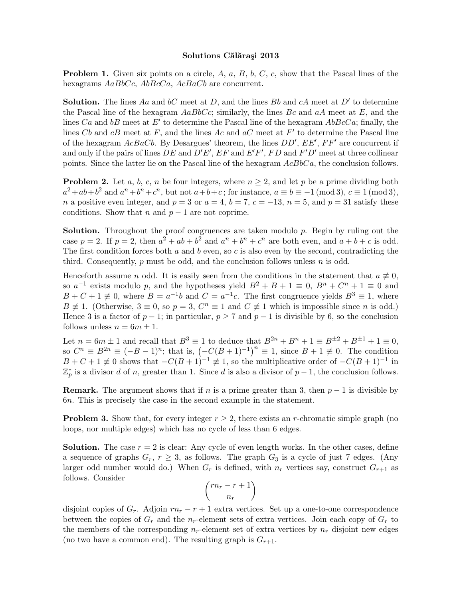## Solutions Călărași 2013

**Problem 1.** Given six points on a circle,  $A$ ,  $a$ ,  $B$ ,  $b$ ,  $C$ ,  $c$ , show that the Pascal lines of the hexagrams  $AaBbCc$ ,  $AbBcCa$ ,  $AcBaCb$  are concurrent.

**Solution.** The lines Aa and bC meet at D, and the lines Bb and cA meet at  $D'$  to determine the Pascal line of the hexagram  $AaBbCc$ ; similarly, the lines Bc and  $aA$  meet at E, and the lines Ca and bB meet at E' to determine the Pascal line of the hexagram  $AbBcCa$ ; finally, the lines Cb and  $cB$  meet at F, and the lines Ac and  $aC$  meet at F' to determine the Pascal line of the hexagram  $AcBaCb$ . By Desargues' theorem, the lines  $DD', EE', FF'$  are concurrent if and only if the pairs of lines DE and  $D'E'$ ,  $EF$  and  $E'F'$ ,  $FD$  and  $F'D'$  meet at three collinear points. Since the latter lie on the Pascal line of the hexagram  $AcBbCa$ , the conclusion follows.

**Problem 2.** Let a, b, c, n be four integers, where  $n \geq 2$ , and let p be a prime dividing both  $a^2+ab+b^2$  and  $a^n+b^n+c^n$ , but not  $a+b+c$ ; for instance,  $a \equiv b \equiv -1 \pmod{3}$ ,  $c \equiv 1 \pmod{3}$ , n a positive even integer, and  $p = 3$  or  $a = 4$ ,  $b = 7$ ,  $c = -13$ ,  $n = 5$ , and  $p = 31$  satisfy these conditions. Show that n and  $p-1$  are not coprime.

**Solution.** Throughout the proof congruences are taken modulo  $p$ . Begin by ruling out the case  $p = 2$ . If  $p = 2$ , then  $a^2 + ab + b^2$  and  $a^n + b^n + c^n$  are both even, and  $a + b + c$  is odd. The first condition forces both a and b even, so c is also even by the second, contradicting the third. Consequently,  $p$  must be odd, and the conclusion follows unless  $n$  is odd.

Henceforth assume n odd. It is easily seen from the conditions in the statement that  $a \neq 0$ , so  $a^{-1}$  exists modulo p, and the hypotheses yield  $B^2 + B + 1 \equiv 0$ ,  $B^n + C^n + 1 \equiv 0$  and  $B + C + 1 \neq 0$ , where  $B = a^{-1}b$  and  $C = a^{-1}c$ . The first congruence yields  $B^3 \equiv 1$ , where  $B \neq 1$ . (Otherwise,  $3 \equiv 0$ , so  $p = 3$ ,  $C<sup>n</sup> \equiv 1$  and  $C \neq 1$  which is impossible since *n* is odd.) Hence 3 is a factor of  $p-1$ ; in particular,  $p \ge 7$  and  $p-1$  is divisible by 6, so the conclusion follows unless  $n = 6m \pm 1$ .

Let  $n = 6m \pm 1$  and recall that  $B^3 \equiv 1$  to deduce that  $B^{2n} + B^{n} + 1 \equiv B^{\pm 2} + B^{\pm 1} + 1 \equiv 0$ , so  $C^n \equiv B^{2n} \equiv (-B-1)^n$ ; that is,  $(-C(B+1)^{-1})^n \equiv 1$ , since  $B+1 \not\equiv 0$ . The condition  $B + C + 1 \neq 0$  shows that  $-C(B+1)^{-1} \neq 1$ , so the multiplicative order of  $-C(B+1)^{-1}$  in  $\mathbb{Z}_p^*$  is a divisor d of n, greater than 1. Since d is also a divisor of  $p-1$ , the conclusion follows.

**Remark.** The argument shows that if n is a prime greater than 3, then  $p-1$  is divisible by 6n. This is precisely the case in the second example in the statement.

**Problem 3.** Show that, for every integer  $r \geq 2$ , there exists an *r*-chromatic simple graph (no loops, nor multiple edges) which has no cycle of less than 6 edges.

**Solution.** The case  $r = 2$  is clear: Any cycle of even length works. In the other cases, define a sequence of graphs  $G_r$ ,  $r \geq 3$ , as follows. The graph  $G_3$  is a cycle of just 7 edges. (Any larger odd number would do.) When  $G_r$  is defined, with  $n_r$  vertices say, construct  $G_{r+1}$  as follows. Consider

$$
\binom{rn_r-r+1}{n_r}
$$

disjoint copies of  $G_r$ . Adjoin  $rn_r - r + 1$  extra vertices. Set up a one-to-one correspondence between the copies of  $G_r$  and the  $n_r$ -element sets of extra vertices. Join each copy of  $G_r$  to the members of the corresponding  $n_r$ -element set of extra vertices by  $n_r$  disjoint new edges (no two have a common end). The resulting graph is  $G_{r+1}$ .